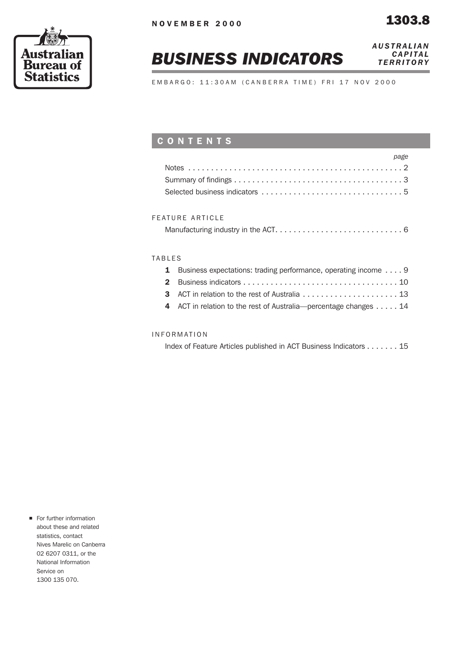

# *BUSINESS INDICATORS*

*AUSTRALIAN CAPITAL TERRITORY*

EMBARGO: 11:30AM (CANBERRA TIME) FRI 17 NOV 2000

# CONTENTS

| page |  |
|------|--|
|      |  |
|      |  |
|      |  |

## FEATURE ARTICLE

|--|

### TABLES

| 1 Business expectations: trading performance, operating income  9 |
|-------------------------------------------------------------------|
|                                                                   |
|                                                                   |
| 4 ACT in relation to the rest of Australia—percentage changes 14  |
|                                                                   |

### INFORMATION

Index of Feature Articles published in ACT Business Indicators . . . . . . . 15

**n** For further information about these and related statistics, contact Nives Marelic on Canberra 02 6207 0311, or the National Information Service on 1300 135 070.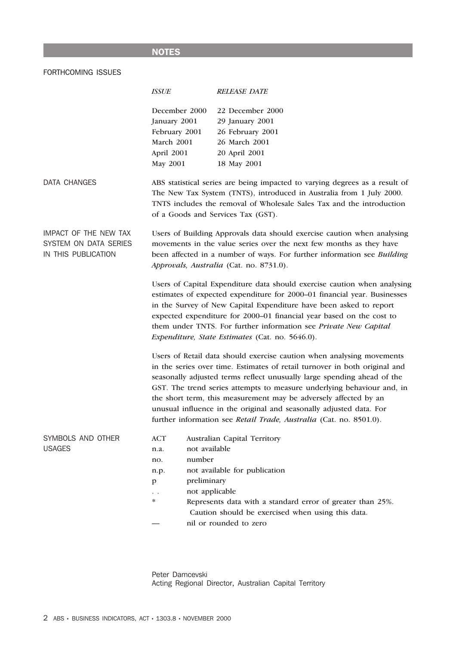# NOTES

# FORTHCOMING ISSUES

|                                                                       | <b>ISSUE</b>                                                                                                                                                                                                                                                         | <b>RELEASE DATE</b>                                                                                                                                                                                                                                                                                                                                                                                                                                                                                                       |  |  |  |  |  |  |  |
|-----------------------------------------------------------------------|----------------------------------------------------------------------------------------------------------------------------------------------------------------------------------------------------------------------------------------------------------------------|---------------------------------------------------------------------------------------------------------------------------------------------------------------------------------------------------------------------------------------------------------------------------------------------------------------------------------------------------------------------------------------------------------------------------------------------------------------------------------------------------------------------------|--|--|--|--|--|--|--|
|                                                                       | December 2000<br>January 2001<br>February 2001<br>March 2001<br>April 2001<br>May 2001                                                                                                                                                                               | 22 December 2000<br>29 January 2001<br>26 February 2001<br>26 March 2001<br>20 April 2001<br>18 May 2001                                                                                                                                                                                                                                                                                                                                                                                                                  |  |  |  |  |  |  |  |
| DATA CHANGES                                                          | ABS statistical series are being impacted to varying degrees as a result of<br>The New Tax System (TNTS), introduced in Australia from 1 July 2000.<br>TNTS includes the removal of Wholesale Sales Tax and the introduction<br>of a Goods and Services Tax (GST).   |                                                                                                                                                                                                                                                                                                                                                                                                                                                                                                                           |  |  |  |  |  |  |  |
| IMPACT OF THE NEW TAX<br>SYSTEM ON DATA SERIES<br>IN THIS PUBLICATION | Users of Building Approvals data should exercise caution when analysing<br>movements in the value series over the next few months as they have<br>been affected in a number of ways. For further information see Building<br>Approvals, Australia (Cat. no. 8731.0). |                                                                                                                                                                                                                                                                                                                                                                                                                                                                                                                           |  |  |  |  |  |  |  |
|                                                                       |                                                                                                                                                                                                                                                                      | Users of Capital Expenditure data should exercise caution when analysing<br>estimates of expected expenditure for 2000-01 financial year. Businesses<br>in the Survey of New Capital Expenditure have been asked to report<br>expected expenditure for 2000-01 financial year based on the cost to<br>them under TNTS. For further information see Private New Capital<br>Expenditure, State Estimates (Cat. no. 5646.0).                                                                                                 |  |  |  |  |  |  |  |
|                                                                       |                                                                                                                                                                                                                                                                      | Users of Retail data should exercise caution when analysing movements<br>in the series over time. Estimates of retail turnover in both original and<br>seasonally adjusted terms reflect unusually large spending ahead of the<br>GST. The trend series attempts to measure underlying behaviour and, in<br>the short term, this measurement may be adversely affected by an<br>unusual influence in the original and seasonally adjusted data. For<br>further information see Retail Trade, Australia (Cat. no. 8501.0). |  |  |  |  |  |  |  |
| SYMBOLS AND OTHER<br><b>USAGES</b>                                    | <b>ACT</b><br>not available<br>n.a.<br>number<br>no.<br>n.p.<br>preliminary<br>p<br>not applicable<br>∗                                                                                                                                                              | Australian Capital Territory<br>not available for publication<br>Represents data with a standard error of greater than 25%.<br>Caution should be exercised when using this data.<br>nil or rounded to zero                                                                                                                                                                                                                                                                                                                |  |  |  |  |  |  |  |

Peter Damcevski Acting Regional Director, Australian Capital Territory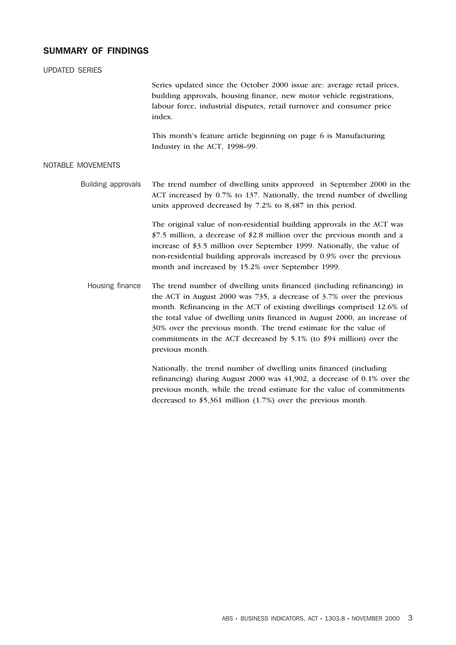# SUMMARY OF FINDINGS

| <b>UPDATED SERIES</b> |                                                                                                                                                                                                                                                                                                                                                                                                                                                                     |
|-----------------------|---------------------------------------------------------------------------------------------------------------------------------------------------------------------------------------------------------------------------------------------------------------------------------------------------------------------------------------------------------------------------------------------------------------------------------------------------------------------|
|                       | Series updated since the October 2000 issue are: average retail prices,<br>building approvals, housing finance, new motor vehicle registrations,<br>labour force, industrial disputes, retail turnover and consumer price<br>index.                                                                                                                                                                                                                                 |
|                       | This month's feature article beginning on page 6 is Manufacturing<br>Industry in the ACT, 1998-99.                                                                                                                                                                                                                                                                                                                                                                  |
| NOTABLE MOVEMENTS     |                                                                                                                                                                                                                                                                                                                                                                                                                                                                     |
| Building approvals    | The trend number of dwelling units approved in September 2000 in the<br>ACT increased by 0.7% to 137. Nationally, the trend number of dwelling<br>units approved decreased by 7.2% to 8,487 in this period.                                                                                                                                                                                                                                                         |
|                       | The original value of non-residential building approvals in the ACT was<br>\$7.5 million, a decrease of \$2.8 million over the previous month and a<br>increase of \$3.5 million over September 1999. Nationally, the value of<br>non-residential building approvals increased by 0.9% over the previous<br>month and increased by 15.2% over September 1999.                                                                                                       |
| Housing finance       | The trend number of dwelling units financed (including refinancing) in<br>the ACT in August 2000 was 735, a decrease of 3.7% over the previous<br>month. Refinancing in the ACT of existing dwellings comprised 12.6% of<br>the total value of dwelling units financed in August 2000, an increase of<br>30% over the previous month. The trend estimate for the value of<br>commitments in the ACT decreased by 5.1% (to \$94 million) over the<br>previous month. |
|                       | Nationally, the trend number of dwelling units financed (including<br>refinancing) during August 2000 was $41,902$ , a decrease of 0.1% over the<br>previous month, while the trend estimate for the value of commitments<br>decreased to $$5,361$ million (1.7%) over the previous month.                                                                                                                                                                          |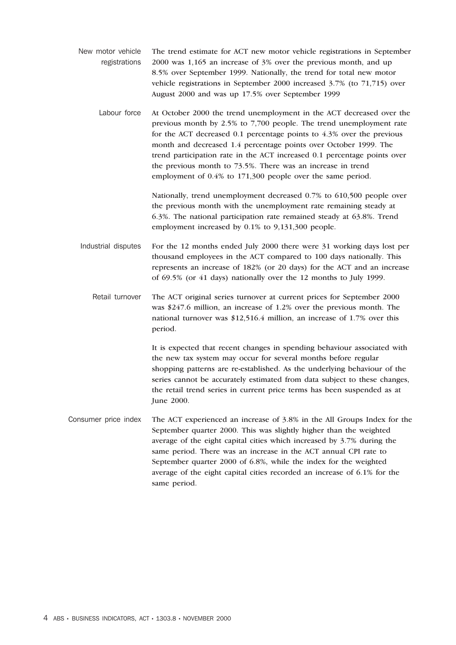- New motor vehicle registrations The trend estimate for ACT new motor vehicle registrations in September 2000 was 1,165 an increase of 3% over the previous month, and up 8.5% over September 1999. Nationally, the trend for total new motor vehicle registrations in September 2000 increased 3.7% (to 71,715) over August 2000 and was up 17.5% over September 1999
	- Labour force At October 2000 the trend unemployment in the ACT decreased over the previous month by 2.5% to 7,700 people. The trend unemployment rate for the ACT decreased 0.1 percentage points to 4.3% over the previous month and decreased 1.4 percentage points over October 1999. The trend participation rate in the ACT increased 0.1 percentage points over the previous month to 73.5%. There was an increase in trend employment of 0.4% to 171,300 people over the same period.

Nationally, trend unemployment decreased 0.7% to 610,500 people over the previous month with the unemployment rate remaining steady at 6.3%. The national participation rate remained steady at 63.8%. Trend employment increased by 0.1% to 9,131,300 people.

Industrial disputes For the 12 months ended July 2000 there were 31 working days lost per thousand employees in the ACT compared to 100 days nationally. This represents an increase of 182% (or 20 days) for the ACT and an increase of 69.5% (or 41 days) nationally over the 12 months to July 1999.

Retail turnover The ACT original series turnover at current prices for September 2000 was \$247.6 million, an increase of 1.2% over the previous month. The national turnover was \$12,516.4 million, an increase of 1.7% over this period.

> It is expected that recent changes in spending behaviour associated with the new tax system may occur for several months before regular shopping patterns are re-established. As the underlying behaviour of the series cannot be accurately estimated from data subject to these changes, the retail trend series in current price terms has been suspended as at June 2000.

Consumer price index The ACT experienced an increase of 3.8% in the All Groups Index for the September quarter 2000. This was slightly higher than the weighted average of the eight capital cities which increased by 3.7% during the same period. There was an increase in the ACT annual CPI rate to September quarter 2000 of 6.8%, while the index for the weighted average of the eight capital cities recorded an increase of 6.1% for the same period.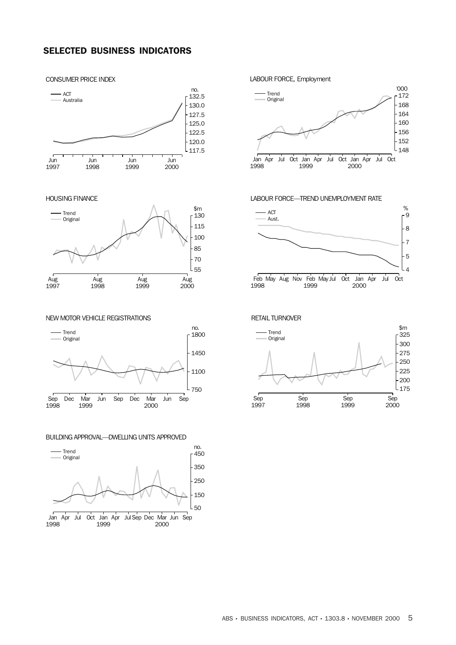# SELECTED BUSINESS INDICATORS

#### Jun 1997 Jun 1998 Jun 1999 Jun 2000 no. 117.5 120.0  $-122.5$  $.125.0$ 127.5 130.0  $\overline{132.5}$ Australia

#### HOUSING FINANCE

CONSUMER PRICE INDEX



NEW MOTOR VEHICLE REGISTRATIONS Sep 1998 Dec Mar 1999 Jun Sep Dec Mar 2000 Jun Sep no. 750 1100 1450 Trend<br>
1800 r -Original

BUILDING APPROVAL—DWELLING UNITS APPROVED





#### LABOUR FORCE—TREND UNEMPLOYMENT RATE



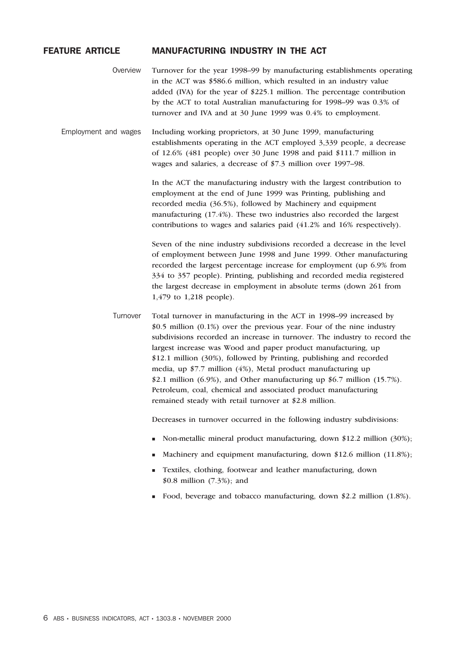## FEATURE ARTICLE MANUFACTURING INDUSTRY IN THE ACT

Overview Turnover for the year 1998–99 by manufacturing establishments operating in the ACT was \$586.6 million, which resulted in an industry value added (IVA) for the year of \$225.1 million. The percentage contribution by the ACT to total Australian manufacturing for 1998–99 was 0.3% of turnover and IVA and at 30 June 1999 was 0.4% to employment.

Employment and wages Including working proprietors, at 30 June 1999, manufacturing establishments operating in the ACT employed 3,339 people, a decrease of 12.6% (481 people) over 30 June 1998 and paid \$111.7 million in wages and salaries, a decrease of \$7.3 million over 1997–98.

> In the ACT the manufacturing industry with the largest contribution to employment at the end of June 1999 was Printing, publishing and recorded media (36.5%), followed by Machinery and equipment manufacturing (17.4%). These two industries also recorded the largest contributions to wages and salaries paid (41.2% and 16% respectively).

Seven of the nine industry subdivisions recorded a decrease in the level of employment between June 1998 and June 1999. Other manufacturing recorded the largest percentage increase for employment (up 6.9% from 334 to 357 people). Printing, publishing and recorded media registered the largest decrease in employment in absolute terms (down 261 from 1,479 to 1,218 people).

Turnover Total turnover in manufacturing in the ACT in 1998–99 increased by \$0.5 million (0.1%) over the previous year. Four of the nine industry subdivisions recorded an increase in turnover. The industry to record the largest increase was Wood and paper product manufacturing, up \$12.1 million (30%), followed by Printing, publishing and recorded media, up \$7.7 million (4%), Metal product manufacturing up \$2.1 million  $(6.9\%)$ , and Other manufacturing up \$6.7 million  $(15.7\%)$ . Petroleum, coal, chemical and associated product manufacturing remained steady with retail turnover at \$2.8 million.

Decreases in turnover occurred in the following industry subdivisions:

- Non-metallic mineral product manufacturing, down \$12.2 million (30%);
- Machinery and equipment manufacturing, down \$12.6 million (11.8%);
- <sup>n</sup> Textiles, clothing, footwear and leather manufacturing, down \$0.8 million (7.3%); and
- Food, beverage and tobacco manufacturing, down \$2.2 million  $(1.8\%)$ .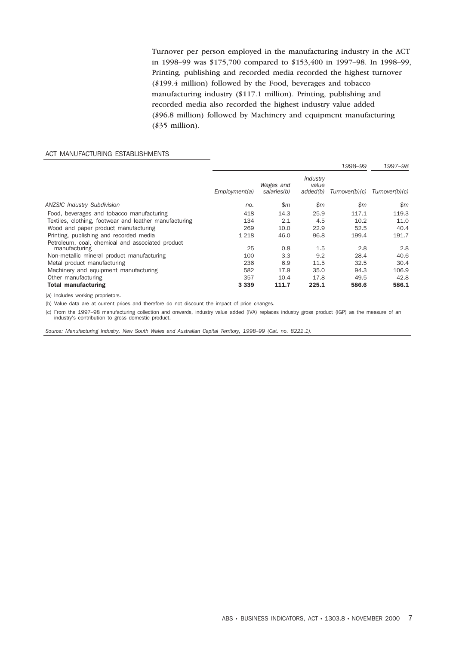Turnover per person employed in the manufacturing industry in the ACT in 1998–99 was \$175,700 compared to \$153,400 in 1997–98. In 1998–99, Printing, publishing and recorded media recorded the highest turnover (\$199.4 million) followed by the Food, beverages and tobacco manufacturing industry (\$117.1 million). Printing, publishing and recorded media also recorded the highest industry value added (\$96.8 million) followed by Machinery and equipment manufacturing (\$35 million).

#### ACT MANUFACTURING ESTABLISHMENTS

|                                                        |               |                          |                               | 1998-99        | 1997–98        |
|--------------------------------------------------------|---------------|--------------------------|-------------------------------|----------------|----------------|
|                                                        | Employment(a) | Wages and<br>salaries(b) | Industry<br>value<br>added(b) | Turnover(b)(c) | Turnover(b)(c) |
| <b>ANZSIC Industry Subdivision</b>                     | no.           | \$m\$                    | \$m                           | \$m\$          | $\mathsf{S}m$  |
| Food, beverages and tobacco manufacturing              | 418           | 14.3                     | 25.9                          | 117.1          | 119.3          |
| Textiles, clothing, footwear and leather manufacturing | 134           | 2.1                      | 4.5                           | 10.2           | 11.0           |
| Wood and paper product manufacturing                   | 269           | 10.0                     | 22.9                          | 52.5           | 40.4           |
| Printing, publishing and recorded media                | 1 2 1 8       | 46.0                     | 96.8                          | 199.4          | 191.7          |
| Petroleum, coal, chemical and associated product       |               |                          |                               |                |                |
| manufacturing                                          | 25            | 0.8                      | 1.5                           | 2.8            | 2.8            |
| Non-metallic mineral product manufacturing             | 100           | 3.3                      | 9.2                           | 28.4           | 40.6           |
| Metal product manufacturing                            | 236           | 6.9                      | 11.5                          | 32.5           | 30.4           |
| Machinery and equipment manufacturing                  | 582           | 17.9                     | 35.0                          | 94.3           | 106.9          |
| Other manufacturing                                    | 357           | 10.4                     | 17.8                          | 49.5           | 42.8           |
| <b>Total manufacturing</b>                             | 3 3 3 9       | 111.7                    | 225.1                         | 586.6          | 586.1          |

(a) Includes working proprietors.

(b) Value data are at current prices and therefore do not discount the impact of price changes.

(c) From the 1997–98 manufacturing collection and onwards, industry value added (IVA) replaces industry gross product (IGP) as the measure of an industry's contribution to gross domestic product.

*Source: Manufacturing Industry, New South Wales and Australian Capital Territory, 1998–99 (Cat. no. 8221.1).*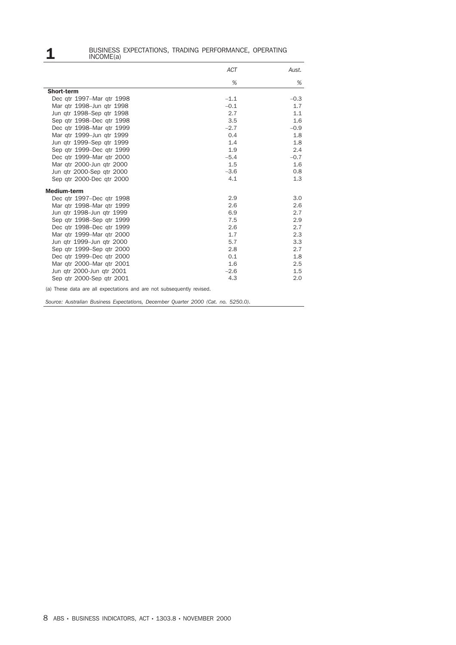# **1** BUSINESS EXPECTATIONS, TRADING PERFORMANCE, OPERATING<br>INCOME(a)

|                                                                       | <b>ACT</b> | Aust.  |
|-----------------------------------------------------------------------|------------|--------|
|                                                                       | %          | %      |
| <b>Short-term</b>                                                     |            |        |
| Dec gtr 1997-Mar gtr 1998                                             | $-1.1$     | $-0.3$ |
| Mar gtr 1998-Jun gtr 1998                                             | $-0.1$     | 1.7    |
| Jun gtr 1998–Sep gtr 1998                                             | 2.7        | 1.1    |
| Sep gtr 1998–Dec gtr 1998                                             | 3.5        | 1.6    |
| Dec gtr 1998-Mar gtr 1999                                             | $-2.7$     | $-0.9$ |
| Mar gtr 1999-Jun gtr 1999                                             | 0.4        | 1.8    |
| Jun atr 1999–Sep atr 1999                                             | 1.4        | 1.8    |
| Sep gtr 1999–Dec gtr 1999                                             | 1.9        | 2.4    |
| Dec gtr 1999-Mar gtr 2000                                             | $-5.4$     | $-0.7$ |
| Mar qtr 2000-Jun qtr 2000                                             | 1.5        | 1.6    |
| Jun atr 2000-Sep atr 2000                                             | $-3.6$     | 0.8    |
| Sep qtr 2000-Dec qtr 2000                                             | 4.1        | 1.3    |
| <b>Medium-term</b>                                                    |            |        |
| Dec gtr 1997–Dec gtr 1998                                             | 2.9        | 3.0    |
| Mar gtr 1998–Mar gtr 1999                                             | 2.6        | 2.6    |
| Jun gtr 1998-Jun gtr 1999                                             | 6.9        | 2.7    |
| Sep gtr 1998–Sep gtr 1999                                             | 7.5        | 2.9    |
| Dec atr 1998–Dec atr 1999                                             | 2.6        | 2.7    |
| Mar gtr 1999-Mar gtr 2000                                             | 1.7        | 2.3    |
| Jun gtr 1999-Jun gtr 2000                                             | 5.7        | 3.3    |
| Sep qtr 1999–Sep qtr 2000                                             | 2.8        | 2.7    |
| Dec gtr 1999–Dec gtr 2000                                             | 0.1        | 1.8    |
| Mar gtr 2000-Mar gtr 2001                                             | 1.6        | 2.5    |
| Jun gtr 2000-Jun gtr 2001                                             | $-2.6$     | 1.5    |
| Sep atr 2000-Sep atr 2001                                             | 4.3        | 2.0    |
| (a) These data are all expectations and are not subsequently revised. |            |        |

*Source: Australian Business Expectations, December Quarter 2000 (Cat. no. 5250.0).*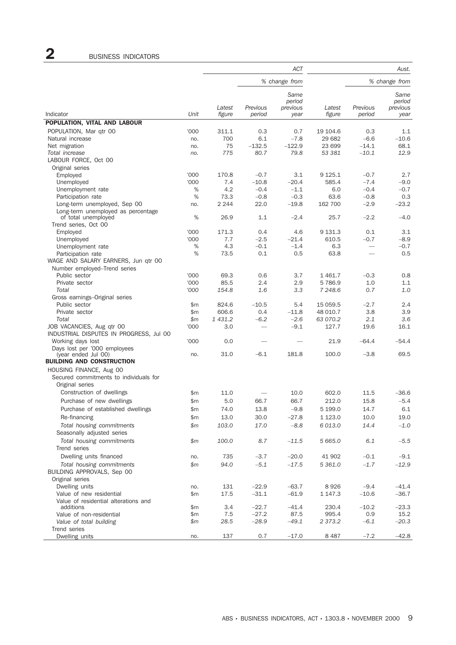# 2 BUSINESS INDICATORS

|                                                                     |        |                  |                    | ACT              |                  |                    | Aust.            |
|---------------------------------------------------------------------|--------|------------------|--------------------|------------------|------------------|--------------------|------------------|
|                                                                     |        |                  |                    | % change from    |                  |                    | % change from    |
|                                                                     |        |                  |                    | Same<br>period   |                  |                    | Same<br>period   |
| Indicator                                                           | Unit   | Latest<br>figure | Previous<br>period | previous<br>year | Latest<br>figure | Previous<br>period | previous<br>year |
| POPULATION, VITAL AND LABOUR                                        |        |                  |                    |                  |                  |                    |                  |
| POPULATION, Mar gtr 00                                              | '000   | 311.1            | 0.3                | 0.7              | 19 104.6         | 0.3                | 1.1              |
| Natural increase                                                    | no.    | 700              | 6.1                | $-7.8$           | 29 682           | $-6.6$             | $-10.6$          |
| Net migration                                                       | no.    | 75               | $-132.5$           | $-122.9$         | 23 699           | $-14.1$            | 68.1             |
| Total increase                                                      | no.    | 775              | 80.7               | 79.8             | 53 381           | $-10.1$            | 12.9             |
| LABOUR FORCE, Oct 00                                                |        |                  |                    |                  |                  |                    |                  |
| Original series                                                     |        |                  |                    |                  |                  |                    |                  |
| Employed                                                            | '000   | 170.8            | $-0.7$             | 3.1              | 9 1 2 5 . 1      | $-0.7$             | 2.7              |
| Unemployed                                                          | '000   | 7.4<br>4.2       | $-10.8$            | $-20.4$          | 585.4            | $-7.4$<br>$-0.4$   | $-9.0$<br>$-0.7$ |
| Unemployment rate<br>Participation rate                             | %<br>% | 73.3             | $-0.4$<br>$-0.8$   | $-1.1$<br>$-0.3$ | 6.0<br>63.6      | $-0.8$             | 0.3              |
| Long-term unemployed, Sep 00                                        | no.    | 2 2 4 4          | 22.0               | $-19.8$          | 162 700          | $-2.9$             | $-23.2$          |
| Long-term unemployed as percentage                                  |        |                  |                    |                  |                  |                    |                  |
| of total unemployed                                                 | %      | 26.9             | 1.1                | $-2.4$           | 25.7             | $-2.2$             | $-4.0$           |
| Trend series, Oct 00                                                |        |                  |                    |                  |                  |                    |                  |
| Employed                                                            | '000   | 171.3            | 0.4                | 4.6              | 9 1 3 1 . 3      | 0.1                | 3.1              |
| Unemployed                                                          | '000   | 7.7              | $-2.5$             | $-21.4$          | 610.5            | $-0.7$             | $-8.9$           |
| Unemployment rate                                                   | %      | 4.3              | $-0.1$             | $-1.4$           | 6.3              |                    | $-0.7$           |
| Participation rate                                                  | %      | 73.5             | 0.1                | 0.5              | 63.8             |                    | 0.5              |
| WAGE AND SALARY EARNERS, Jun gtr 00<br>Number employed–Trend series |        |                  |                    |                  |                  |                    |                  |
| Public sector                                                       | '000   | 69.3             | 0.6                | 3.7              | 1461.7           | $-0.3$             | 0.8              |
| Private sector                                                      | '000   | 85.5             | 2.4                | 2.9              | 5786.9           | 1.0                | 1.1              |
| Total                                                               | '000   | 154.8            | 1.6                | 3.3              | 7 248.6          | 0.7                | 1.0              |
| Gross earnings–Original series                                      |        |                  |                    |                  |                  |                    |                  |
| Public sector                                                       | \$m    | 824.6            | $-10.5$            | 5.4              | 15 059.5         | $-2.7$             | 2.4              |
| Private sector                                                      | \$m    | 606.6            | 0.4                | $-11.8$          | 48 010.7         | 3.8                | 3.9              |
| Total                                                               | \$m    | 1 431.2          | $-6.2$             | $-2.6$           | 63 070.2         | 2.1                | 3.6              |
| JOB VACANCIES, Aug qtr 00                                           | '000   | 3.0              |                    | $-9.1$           | 127.7            | 19.6               | 16.1             |
| INDUSTRIAL DISPUTES IN PROGRESS, Jul 00                             |        |                  |                    |                  |                  |                    |                  |
| Working days lost                                                   | '000   | 0.0              |                    |                  | 21.9             | $-64.4$            | $-54.4$          |
| Days lost per '000 employees<br>(year ended Jul 00)                 | no.    | 31.0             | $-6.1$             | 181.8            | 100.0            | $-3.8$             | 69.5             |
| <b>BUILDING AND CONSTRUCTION</b>                                    |        |                  |                    |                  |                  |                    |                  |
| HOUSING FINANCE, Aug 00                                             |        |                  |                    |                  |                  |                    |                  |
| Secured commitments to individuals for                              |        |                  |                    |                  |                  |                    |                  |
| Original series                                                     |        |                  |                    |                  |                  |                    |                  |
| Construction of dwellings                                           | \$m    | 11.0             |                    | 10.0             | 602.0            | 11.5               | -36.6            |
| Purchase of new dwellings                                           | \$m    | 5.0              | 66.7               | 66.7             | 212.0            | 15.8               | $-5.4$           |
| Purchase of established dwellings                                   | \$m    | 74.0             | 13.8               | $-9.8$           | 5 199.0          | 14.7               | 6.1              |
| Re-financing                                                        | \$m    | 13.0             | 30.0               | $-27.8$          | 1 1 2 3 . 0      | 10.0               | 19.0             |
| Total housing commitments                                           | \$m    | 103.0            | 17.0               | $-8.8$           | 6 013.0          | 14.4               | $-1.0$           |
| Seasonally adjusted series                                          |        |                  |                    |                  |                  |                    |                  |
| Total housing commitments                                           | \$m    | 100.0            | 8.7                | $-11.5$          | 5 665.0          | 6.1                | $-5.5$           |
| Trend series                                                        |        |                  |                    |                  |                  |                    |                  |
| Dwelling units financed                                             | no.    | 735              | $-3.7$             | $-20.0$          | 41 902           | $-0.1$             | $-9.1$           |
| Total housing commitments                                           | \$m    | 94.0             | $-5.1$             | $-17.5$          | 5 361.0          | $-1.7$             | $-12.9$          |
| BUILDING APPROVALS, Sep 00                                          |        |                  |                    |                  |                  |                    |                  |
| Original series                                                     |        |                  |                    |                  |                  |                    |                  |
| Dwelling units                                                      | no.    | 131              | $-22.9$            | $-63.7$          | 8926             | $-9.4$             | $-41.4$          |
| Value of new residential                                            | \$m    | 17.5             | $-31.1$            | $-61.9$          | 1 147.3          | $-10.6$            | $-36.7$          |
| Value of residential alterations and<br>additions                   | \$m    | 3.4              | $-22.7$            | $-41.4$          | 230.4            | $-10.2$            | $-23.3$          |
| Value of non-residential                                            | \$m    | 7.5              | $-27.2$            | 87.5             | 995.4            | 0.9                | 15.2             |
| Value of total building                                             | \$m    | 28.5             | $-28.9$            | $-49.1$          | 2 373.2          | $-6.1$             | $-20.3$          |
| Trend series                                                        |        |                  |                    |                  |                  |                    |                  |
| Dwelling units                                                      | no.    | 137              | 0.7                | $-17.0$          | 8487             | $-7.2$             | $-42.8$          |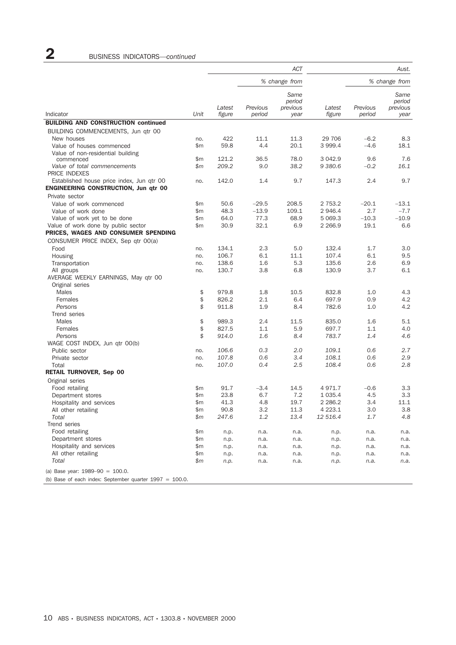|                                             |              |                  |                    | <b>ACT</b>                         |                    |                    | Aust.                              |
|---------------------------------------------|--------------|------------------|--------------------|------------------------------------|--------------------|--------------------|------------------------------------|
|                                             |              |                  |                    | % change from                      |                    |                    | % change from                      |
| Indicator                                   | Unit         | Latest<br>figure | Previous<br>period | Same<br>period<br>previous<br>year | Latest<br>figure   | Previous<br>period | Same<br>period<br>previous<br>year |
| <b>BUILDING AND CONSTRUCTION continued</b>  |              |                  |                    |                                    |                    |                    |                                    |
| BUILDING COMMENCEMENTS, Jun qtr 00          |              |                  |                    |                                    |                    |                    |                                    |
| New houses                                  | no.          | 422              | 11.1               | 11.3                               | 29 706             | $-6.2$             | 8.3                                |
| Value of houses commenced                   | \$m          | 59.8             | 4.4                | 20.1                               | 3 999.4            | $-4.6$             | 18.1                               |
| Value of non-residential building           |              |                  |                    |                                    |                    |                    |                                    |
| commenced<br>Value of total commencements   | \$m<br>\$m\$ | 121.2<br>209.2   | 36.5<br>9.0        | 78.0<br>38.2                       | 3 042.9<br>9 380.6 | 9.6<br>$-0.2$      | 7.6<br>16.1                        |
| PRICE INDEXES                               |              |                  |                    |                                    |                    |                    |                                    |
| Established house price index, Jun qtr 00   | no.          | 142.0            | 1.4                | 9.7                                | 147.3              | 2.4                | 9.7                                |
| <b>ENGINEERING CONSTRUCTION, Jun gtr 00</b> |              |                  |                    |                                    |                    |                    |                                    |
| Private sector                              |              |                  |                    |                                    |                    |                    |                                    |
| Value of work commenced                     | \$m          | 50.6             | $-29.5$            | 208.5                              | 2 753.2            | $-20.1$            | $-13.1$                            |
| Value of work done                          | \$m          | 48.3             | $-13.9$            | 109.1                              | 2 946.4            | 2.7                | $-7.7$                             |
| Value of work yet to be done                | \$m          | 64.0             | 77.3               | 68.9                               | 5 069.3            | $-10.3$            | $-10.9$                            |
| Value of work done by public sector         | \$m          | 30.9             | 32.1               | 6.9                                | 2 2 6 6.9          | 19.1               | 6.6                                |
| PRICES, WAGES AND CONSUMER SPENDING         |              |                  |                    |                                    |                    |                    |                                    |
| CONSUMER PRICE INDEX, Sep qtr 00(a)         |              |                  |                    |                                    |                    |                    |                                    |
| Food                                        | no.          | 134.1            | 2.3                | 5.0                                | 132.4              | 1.7                | 3.0                                |
| Housing                                     | no.          | 106.7            | 6.1                | 11.1                               | 107.4              | 6.1                | 9.5                                |
| Transportation                              | no.          | 138.6            | 1.6                | 5.3                                | 135.6              | 2.6                | 6.9                                |
| All groups                                  | no.          | 130.7            | 3.8                | 6.8                                | 130.9              | 3.7                | 6.1                                |
| AVERAGE WEEKLY EARNINGS, May qtr 00         |              |                  |                    |                                    |                    |                    |                                    |
| Original series                             |              |                  |                    |                                    |                    |                    |                                    |
| Males                                       | \$           | 979.8            | 1.8                | 10.5                               | 832.8              | 1.0                | 4.3                                |
| Females                                     | \$           | 826.2            | 2.1                | 6.4                                | 697.9              | 0.9                | 4.2                                |
| Persons                                     | \$           | 911.8            | 1.9                | 8.4                                | 782.6              | 1.0                | 4.2                                |
| Trend series                                |              |                  |                    |                                    |                    |                    |                                    |
| Males                                       | \$           | 989.3            | 2.4                | 11.5                               | 835.0              | 1.6                | 5.1                                |
| Females<br>Persons                          | \$<br>\$     | 827.5<br>914.0   | 1.1<br>1.6         | 5.9<br>8.4                         | 697.7<br>783.7     | 1.1<br>1.4         | 4.0<br>4.6                         |
| WAGE COST INDEX, Jun qtr 00(b)              |              |                  |                    |                                    |                    |                    |                                    |
| Public sector                               | no.          | 106.6            | 0.3                | 2.0                                | 109.1              | 0.6                | 2.7                                |
| Private sector                              | no.          | 107.8            | 0.6                | 3.4                                | 108.1              | 0.6                | 2.9                                |
| Total                                       | no.          | 107.0            | 0.4                | 2.5                                | 108.4              | 0.6                | 2.8                                |
| <b>RETAIL TURNOVER, Sep 00</b>              |              |                  |                    |                                    |                    |                    |                                    |
| Original series                             |              |                  |                    |                                    |                    |                    |                                    |
| Food retailing                              | \$m          | 91.7             | $-3.4$             | 14.5                               | 4971.7             | $-0.6$             | 3.3                                |
| Department stores                           | \$m          | 23.8             | 6.7                | 7.2                                | 1 0 3 5.4          | 4.5                | 3.3                                |
| Hospitality and services                    | \$m          | 41.3             | 4.8                | 19.7                               | 2 2 8 6.2          | 3.4                | 11.1                               |
| All other retailing                         | \$m          | 90.8             | 3.2                | 11.3                               | 4 2 2 3.1          | 3.0                | 3.8                                |
| Total                                       | \$m          | 247.6            | $1.2\,$            | 13.4                               | 12 516.4           | 1.7                | 4.8                                |
| Trend series                                |              |                  |                    |                                    |                    |                    |                                    |
| Food retailing                              | \$m          | n.p.             | n.a.               | n.a.                               | n.p.               | n.a.               | n.a.                               |
| Department stores                           | \$m          | n.p.             | n.a.               | n.a.                               | n.p.               | n.a.               | n.a.                               |
| Hospitality and services                    | \$m          | n.p.             | n.a.               | n.a.                               | n.p.               | n.a.               | n.a.                               |
| All other retailing                         | \$m          | n.p.             | n.a.               | n.a.                               | n.p.               | n.a.               | n.a.                               |
| Total                                       | \$m          | n.p.             | n.a.               | n.a.                               | n.p.               | n.a.               | n.a.                               |
| (a) Base year: $1989-90 = 100.0$ .          |              |                  |                    |                                    |                    |                    |                                    |
|                                             |              |                  |                    |                                    |                    |                    |                                    |

(b) Base of each index: September quarter 1997 = 100.0.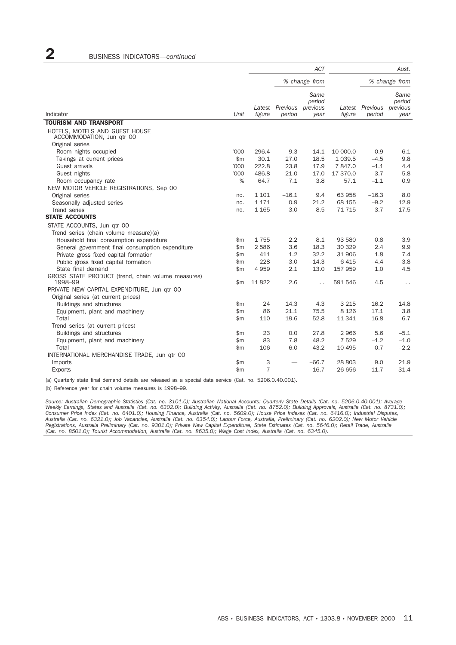|                                                                                |               |                  |                    | <b>ACT</b>                         |                  | Aust.              |                                    |
|--------------------------------------------------------------------------------|---------------|------------------|--------------------|------------------------------------|------------------|--------------------|------------------------------------|
|                                                                                |               |                  |                    | % change from                      |                  |                    | % change from                      |
| Indicator                                                                      | Unit          | Latest<br>figure | Previous<br>period | Same<br>period<br>previous<br>year | Latest<br>figure | Previous<br>period | Same<br>period<br>previous<br>year |
| <b>TOURISM AND TRANSPORT</b>                                                   |               |                  |                    |                                    |                  |                    |                                    |
| HOTELS, MOTELS AND GUEST HOUSE<br>ACCOMMODATION, Jun qtr 00<br>Original series |               |                  |                    |                                    |                  |                    |                                    |
| Room nights occupied                                                           | '000          | 296.4            | 9.3                | 14.1                               | 10 000.0         | $-0.9$             | 6.1                                |
| Takings at current prices                                                      | $\mathsf{m}$  | 30.1             | 27.0               | 18.5                               | 1 0 3 9.5        | $-4.5$             | 9.8                                |
| Guest arrivals                                                                 | '000          | 222.8            | 23.8               | 17.9                               | 7847.0           | $-1.1$             | 4.4                                |
| Guest nights                                                                   | '000          | 486.8            | 21.0               | 17.0                               | 17 370.0         | $-3.7$             | 5.8                                |
| Room occupancy rate                                                            | %             | 64.7             | 7.1                | 3.8                                | 57.1             | $-1.1$             | 0.9                                |
| NEW MOTOR VEHICLE REGISTRATIONS, Sep 00                                        |               |                  |                    |                                    |                  |                    |                                    |
| Original series                                                                | no.           | 1 101            | $-16.1$            | 9.4                                | 63 958           | $-16.3$            | 8.0                                |
| Seasonally adjusted series                                                     | no.           | 1 1 7 1          | 0.9                | 21.2                               | 68 155           | $-9.2$             | 12.9                               |
| Trend series                                                                   | no.           | 1 1 6 5          | 3.0                | 8.5                                | 71 715           | 3.7                | 17.5                               |
| <b>STATE ACCOUNTS</b>                                                          |               |                  |                    |                                    |                  |                    |                                    |
| STATE ACCOUNTS, Jun gtr 00                                                     |               |                  |                    |                                    |                  |                    |                                    |
| Trend series (chain volume measure)(a)                                         |               |                  |                    |                                    |                  |                    |                                    |
| Household final consumption expenditure                                        | \$m           | 1755             | 2.2                | 8.1                                | 93 580           | 0.8                | 3.9                                |
| General government final consumption expenditure                               | \$m           | 2 5 8 6          | 3.6                | 18.3                               | 30 329           | 2.4                | 9.9                                |
| Private gross fixed capital formation                                          | \$m           | 411              | 1.2                | 32.2                               | 31 906           | 1.8                | 7.4                                |
| Public gross fixed capital formation                                           | \$m           | 228              | $-3.0$             | $-14.3$                            | 6415             | $-4.4$             | $-3.8$                             |
| State final demand                                                             | \$m           | 4959             | 2.1                | 13.0                               | 157 959          | 1.0                | 4.5                                |
| GROSS STATE PRODUCT (trend, chain volume measures)<br>1998-99                  | $\mathsf{Sm}$ | 11822            | 2.6                | $\ddot{\phantom{0}}$               | 591 546          | 4.5                | $\ddot{\phantom{0}}$               |
| PRIVATE NEW CAPITAL EXPENDITURE, Jun gtr 00                                    |               |                  |                    |                                    |                  |                    |                                    |
| Original series (at current prices)                                            |               |                  |                    |                                    |                  |                    |                                    |
| Buildings and structures                                                       | \$m           | 24               | 14.3               | 4.3                                | 3 2 1 5          | 16.2               | 14.8                               |
| Equipment, plant and machinery                                                 | \$m           | 86               | 21.1               | 75.5                               | 8 1 2 6          | 17.1               | 3.8                                |
| Total                                                                          | \$m           | 110              | 19.6               | 52.8                               | 11 341           | 16.8               | 6.7                                |
| Trend series (at current prices)                                               |               |                  |                    |                                    |                  |                    |                                    |
| Buildings and structures                                                       | \$m           | 23               | 0.0                | 27.8                               | 2966             | 5.6                | $-5.1$                             |
| Equipment, plant and machinery                                                 | \$m           | 83               | 7.8                | 48.2                               | 7 5 2 9          | $-1.2$             | $-1.0$                             |
| Total                                                                          | \$m           | 106              | 6.0                | 43.2                               | 10 4 95          | 0.7                | $-2.2$                             |
| INTERNATIONAL MERCHANDISE TRADE, Jun qtr 00                                    |               |                  |                    |                                    |                  |                    |                                    |
| Imports                                                                        | $\mathsf{Sm}$ | 3                |                    | $-66.7$                            | 28 803           | 9.0                | 21.9                               |
| <b>Exports</b>                                                                 | \$m           | $\overline{7}$   | $\frac{1}{2}$      | 16.7                               | 26 656           | 11.7               | 31.4                               |

(a) Quarterly state final demand details are released as a special data service (Cat. no. 5206.0.40.001).

(b) Reference year for chain volume measures is 1998–99.

*Source: Australian Demographic Statistics (Cat. no. 3101.0); Australian National Accounts: Quarterly State Details (Cat. no. 5206.0.40.001); Average* Weekly Earnings, States and Australia (Cat. no. 6302.0); Building Activity, Australia (Cat. no. 8752.0); Building Approvals, Australia (Cat. no. 8731.0);<br>Consumer Price Index (Cat. no. 6401.0); Housing Finance, Australia (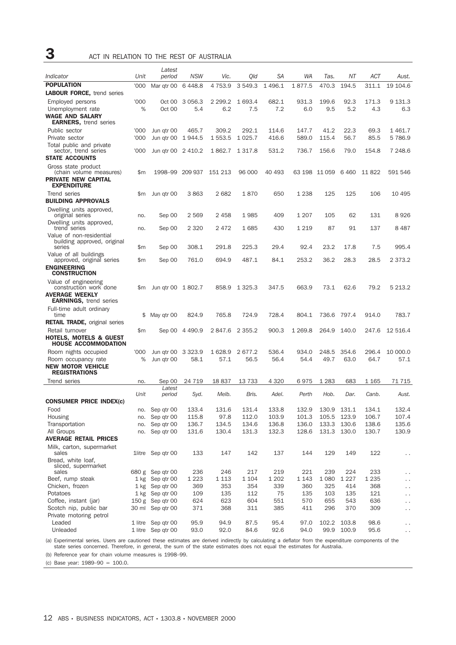3 ACT IN RELATION TO THE REST OF AUSTRALIA

|                                                         |        | Latest                                   |                     |                |                |                |                |                |                |                |                                      |
|---------------------------------------------------------|--------|------------------------------------------|---------------------|----------------|----------------|----------------|----------------|----------------|----------------|----------------|--------------------------------------|
| Indicator                                               | Unit   | period                                   | <b>NSW</b>          | Vic.           | Qld            | SА             | WA             | Tas.           | NΤ             | ACT            | Aust.                                |
| <b>POPULATION</b>                                       | '000   | Mar qtr 00                               | 6448.8              | 4 7 5 3.9      | 3 549.3        | 1496.1         | 1877.5         | 470.3          | 194.5          | 311.1          | 19 104.6                             |
| <b>LABOUR FORCE, trend series</b>                       |        |                                          |                     |                |                |                |                |                |                |                |                                      |
| Employed persons                                        | '000   | Oct 00                                   | 3 0 5 6.3           | 2 299.2        | 1 693.4        | 682.1          | 931.3          | 199.6          | 92.3           | 171.3          | 9 131.3                              |
| Unemployment rate<br><b>WAGE AND SALARY</b>             | %      | Oct 00                                   | 5.4                 | 6.2            | 7.5            | 7.2            | 6.0            | 9.5            | 5.2            | 4.3            | 6.3                                  |
| <b>EARNERS, trend series</b>                            |        |                                          |                     |                |                |                |                |                |                |                |                                      |
| Public sector                                           | '000   | Jun qtr 00                               | 465.7               | 309.2          | 292.1          | 114.6          | 147.7          | 41.2           | 22.3           | 69.3           | 1461.7                               |
| Private sector                                          | '000   | Jun qtr 00                               | 1944.5              | 1 553.5        | 1 0 2 5 . 7    | 416.6          | 589.0          | 115.4          | 56.7           | 85.5           | 5 786.9                              |
| Total public and private                                |        |                                          |                     |                |                |                |                |                |                |                |                                      |
| sector, trend series<br><b>STATE ACCOUNTS</b>           | '000   | Jun qtr 00 2 410.2                       |                     | 1862.7         | 1 3 1 7 .8     | 531.2          | 736.7          | 156.6          | 79.0           | 154.8          | 7 248.6                              |
| Gross state product                                     |        |                                          |                     |                |                |                |                |                |                |                |                                      |
| (chain volume measures)                                 | \$m    | 1998-99 209 937                          |                     | 151 213        | 96 000         | 40 493         |                | 63 198 11 059  | 6 4 6 0        | 11 822         | 591 546                              |
| <b>PRIVATE NEW CAPITAL</b>                              |        |                                          |                     |                |                |                |                |                |                |                |                                      |
| <b>EXPENDITURE</b>                                      |        |                                          |                     |                |                |                |                |                |                |                |                                      |
| Trend series                                            | \$m    | Jun qtr 00                               | 3863                | 2682           | 1870           | 650            | 1 2 3 8        | 125            | 125            | 106            | 10 495                               |
| BUILDING APPROVALS                                      |        |                                          |                     |                |                |                |                |                |                |                |                                      |
| Dwelling units approved,<br>original series             | no.    | Sep 00                                   | 2569                | 2458           | 1985           | 409            | 1 2 0 7        | 105            | 62             | 131            | 8 926                                |
| Dwelling units approved,                                |        |                                          |                     |                |                |                |                |                |                |                |                                      |
| trend series                                            | no.    | Sep 00                                   | 2 3 2 0             | 2472           | 1685           | 430            | 1 2 1 9        | 87             | 91             | 137            | 8 487                                |
| Value of non-residential<br>building approved, original |        |                                          |                     |                |                |                |                |                |                |                |                                      |
| series                                                  | \$m    | Sep 00                                   | 308.1               | 291.8          | 225.3          | 29.4           | 92.4           | 23.2           | 17.8           | 7.5            | 995.4                                |
| Value of all buildings                                  |        |                                          |                     |                |                |                |                |                |                |                |                                      |
| approved, original series<br><b>ENGINEERING</b>         | \$m    | Sep 00                                   | 761.0               | 694.9          | 487.1          | 84.1           | 253.2          | 36.2           | 28.3           | 28.5           | 2 373.2                              |
| <b>CONSTRUCTION</b>                                     |        |                                          |                     |                |                |                |                |                |                |                |                                      |
| Value of engineering                                    |        |                                          |                     |                |                |                |                |                |                |                |                                      |
| construction work done                                  | \$m    | Jun qtr 00 1 802.7                       |                     | 858.9          | 1 325.3        | 347.5          | 663.9          | 73.1           | 62.6           | 79.2           | 5 213.2                              |
| <b>AVERAGE WEEKLY</b><br><b>EARNINGS, trend series</b>  |        |                                          |                     |                |                |                |                |                |                |                |                                      |
| Full-time adult ordinary                                |        |                                          |                     |                |                |                |                |                |                |                |                                      |
| time                                                    | \$     | May qtr 00                               | 824.9               | 765.8          | 724.9          | 728.4          | 804.1          | 736.6          | 797.4          | 914.0          | 783.7                                |
| <b>RETAIL TRADE, original series</b>                    |        |                                          |                     |                |                |                |                |                |                |                |                                      |
| Retail turnover                                         | \$m    | Sep 00                                   | 4 4 9 0.9           | 2847.6         | 2 3 5 5.2      | 900.3          | 1 269.8        | 264.9          | 140.0          | 247.6          | 12 516.4                             |
| <b>HOTELS, MOTELS &amp; GUEST</b>                       |        |                                          |                     |                |                |                |                |                |                |                |                                      |
| <b>HOUSE ACCOMMODATION</b>                              | '000   |                                          |                     |                |                |                |                |                |                |                | 10 000.0                             |
| Room nights occupied<br>Room occupancy rate             | %      | Jun qtr 00<br>Jun qtr 00                 | 3 3 2 3 . 9<br>58.1 | 1628.9<br>57.1 | 2677.2<br>56.5 | 536.4<br>56.4  | 934.0<br>54.4  | 248.5<br>49.7  | 354.6<br>63.0  | 296.4<br>64.7  | 57.1                                 |
| <b>NEW MOTOR VEHICLE</b>                                |        |                                          |                     |                |                |                |                |                |                |                |                                      |
| <b>REGISTRATIONS</b>                                    |        |                                          |                     |                |                |                |                |                |                |                |                                      |
| Trend series                                            | no.    | Sep 00                                   | 24 7 19             | 18 837         | 13733          | 4 3 2 0        | 6975           | 1 2 8 3        | 683            | 1 165          | 71 715                               |
|                                                         | Unit   | Latest<br>period                         | Syd.                | Melb.          | Bris.          | Adel.          | Perth          | Hob.           | Dar.           | Canb.          | Aust.                                |
| <b>CONSUMER PRICE INDEX(c)</b>                          |        |                                          |                     |                |                |                |                |                |                |                |                                      |
| Food                                                    |        | no. Sep qtr 00                           | 133.4               | 131.6          | 131.4          | 133.8          | 132.9          |                | 130.9 131.1    | 134.1          | 132.4                                |
| Housing                                                 | no.    | Sep qtr 00                               | 115.8               | 97.8           | 112.0          | 103.9          | 101.3          | 105.5          | 123.9          | 106.7          | 107.4                                |
| Transportation                                          | no.    | Sep qtr 00                               | 136.7               | 134.5          | 134.6          | 136.8          | 136.0          | 133.3          | 130.6          | 138.6          | 135.6                                |
| All Groups                                              | no.    | Sep qtr 00                               | 131.6               | 130.4          | 131.3          | 132.3          | 128.6          | 131.3          | 130.0          | 130.7          | 130.9                                |
| <b>AVERAGE RETAIL PRICES</b>                            |        |                                          |                     |                |                |                |                |                |                |                |                                      |
| Milk, carton, supermarket<br>sales                      |        | 1litre Sep qtr 00                        | 133                 | 147            | 142            | 137            | 144            | 129            | 149            | 122            |                                      |
| Bread, white loaf,                                      |        |                                          |                     |                |                |                |                |                |                |                | $\cdot$ .                            |
| sliced, supermarket                                     |        |                                          |                     |                |                |                |                |                |                |                |                                      |
| sales<br>Beef, rump steak                               |        | 680 g Sep qtr 00<br>1 kg Sep qtr 00      | 236<br>1 2 2 3      | 246            | 217<br>1 1 0 4 | 219<br>1 2 0 2 | 221<br>1 1 4 3 | 239<br>1 0 8 0 | 224<br>1 2 2 7 | 233<br>1 2 3 5 | $\ddotsc$                            |
| Chicken, frozen                                         |        | 1 kg Sep qtr 00                          | 369                 | 1 1 1 3<br>353 | 354            | 339            | 360            | 325            | 414            | 368            | $\epsilon$ .<br>$\ddot{\phantom{0}}$ |
| Potatoes                                                | $1$ kg | Sep qtr 00                               | 109                 | 135            | 112            | 75             | 135            | 103            | 135            | 121            | $\ddot{\phantom{0}}$                 |
| Coffee, instant (jar)                                   |        | 150 g Sep qtr 00                         | 624                 | 623            | 604            | 551            | 570            | 655            | 543            | 636            | $\ddotsc$                            |
| Scotch nip, public bar                                  |        | 30 ml Sep qtr 00                         | 371                 | 368            | 311            | 385            | 411            | 296            | 370            | 309            | $\ddotsc$                            |
| Private motoring petrol                                 |        |                                          |                     |                |                |                |                |                |                |                |                                      |
| Leaded                                                  |        | 1 litre Sep qtr 00<br>1 litre Sep qtr 00 | 95.9<br>93.0        | 94.9<br>92.0   | 87.5<br>84.6   | 95.4<br>92.6   | 97.0<br>94.0   | 102.2<br>99.9  | 103.8<br>100.9 | 98.6<br>95.6   | $\sim$ $\sim$                        |
| Unleaded                                                |        |                                          |                     |                |                |                |                |                |                |                | $\sim$ $\sim$                        |

(a) Experimental series. Users are cautioned these estimates are derived indirectly by calculating a deflator from the expenditure components of the<br>state series concerned. Therefore, in general, the sum of the state estim

(b) Reference year for chain volume measures is 1998–99.

(c) Base year: 1989–90 = 100.0.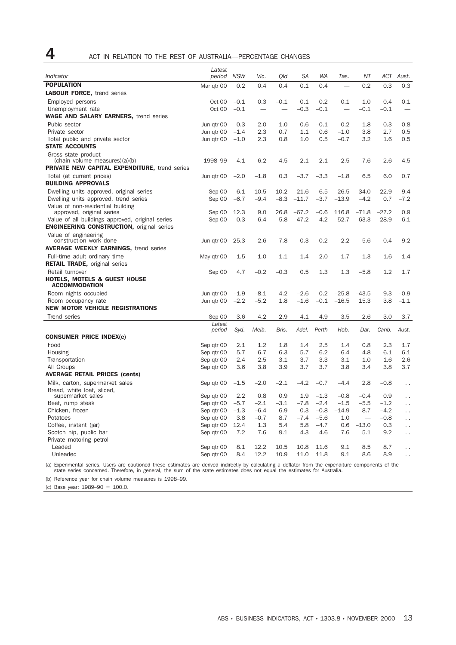| 4<br>ACT IN RELATION TO THE REST OF AUSTRALIA-PERCENTAGE CHANGES |  |
|------------------------------------------------------------------|--|
|------------------------------------------------------------------|--|

|                                                                                       | Latest                   |               |                          |                          |               |                  |                          |         |                  |                                              |
|---------------------------------------------------------------------------------------|--------------------------|---------------|--------------------------|--------------------------|---------------|------------------|--------------------------|---------|------------------|----------------------------------------------|
| Indicator                                                                             | period                   | <b>NSW</b>    | Vic.                     | Old                      | SА            | <b>WA</b>        | Tas.                     | NΤ      | ACT              | Aust.                                        |
| <b>POPULATION</b>                                                                     | Mar qtr 00               | 0.2           | 0.4                      | 0.4                      | 0.1           | 0.4              |                          | 0.2     | 0.3              | 0.3                                          |
| <b>LABOUR FORCE, trend series</b>                                                     |                          |               |                          |                          |               |                  |                          |         |                  |                                              |
| Employed persons                                                                      | Oct 00                   | $-0.1$        | 0.3                      | $-0.1$                   | 0.1           | 0.2              | 0.1                      | 1.0     | 0.4              | 0.1                                          |
| Unemployment rate                                                                     | Oct 00                   | $-0.1$        | $\overline{\phantom{a}}$ | $\overline{\phantom{a}}$ | $-0.3$        | $-0.1$           | $\overline{\phantom{a}}$ | $-0.1$  | $-0.1$           | $\overline{\phantom{a}}$                     |
| <b>WAGE AND SALARY EARNERS, trend series</b>                                          |                          |               |                          |                          |               |                  |                          |         |                  |                                              |
| Pubic sector                                                                          | Jun gtr 00               | 0.3           | 2.0                      | 1.0                      | 0.6           | $-0.1$           | 0.2                      | 1.8     | 0.3              | 0.8                                          |
| Private sector                                                                        | Jun qtr 00               | $-1.4$        | 2.3                      | 0.7                      | 1.1           | 0.6              | $-1.0$                   | 3.8     | 2.7              | 0.5                                          |
| Total public and private sector<br><b>STATE ACCOUNTS</b>                              | Jun gtr 00               | $-1.0$        | 2.3                      | 0.8                      | 1.0           | 0.5              | $-0.7$                   | 3.2     | 1.6              | 0.5                                          |
| Gross state product                                                                   |                          |               |                          |                          |               |                  |                          |         |                  |                                              |
| (chain volume measures)(a)(b)<br><b>PRIVATE NEW CAPITAL EXPENDITURE, trend series</b> | 1998-99                  | 4.1           | 6.2                      | 4.5                      | 2.1           | 2.1              | 2.5                      | 7.6     | 2.6              | 4.5                                          |
|                                                                                       |                          |               |                          |                          |               |                  |                          |         |                  |                                              |
| Total (at current prices)<br><b>BUILDING APPROVALS</b>                                | Jun qtr 00               | $-2.0$        | $-1.8$                   | 0.3                      | $-3.7$        | $-3.3$           | $-1.8$                   | 6.5     | 6.0              | 0.7                                          |
| Dwelling units approved, original series                                              | Sep 00                   | $-6.1$        | $-10.5$                  | $-10.2$                  | $-21.6$       | $-6.5$           | 26.5                     | $-34.0$ | $-22.9$          | $-9.4$                                       |
| Dwelling units approved, trend series<br>Value of non-residential building            | Sep 00                   | $-6.7$        | $-9.4$                   | $-8.3$                   | $-11.7$       | $-3.7$           | $-13.9$                  | $-4.2$  | 0.7              | $-7.2$                                       |
| approved, original series                                                             | Sep 00                   | 12.3          | 9.0                      | 26.8                     | $-67.2$       | $-0.6$           | 116.8                    | $-71.8$ | $-27.2$          | 0.9                                          |
| Value of all buildings approved, original series                                      | Sep 00                   | 0.3           | $-6.4$                   | 5.8                      | $-47.2$       | $-4.2$           | 52.7                     | $-63.3$ | $-28.9$          | $-6.1$                                       |
| <b>ENGINEERING CONSTRUCTION, original series</b>                                      |                          |               |                          |                          |               |                  |                          |         |                  |                                              |
| Value of engineering<br>construction work done                                        | Jun gtr 00               | 25.3          | -2.6                     | 7.8                      | $-0.3$        | $-0.2$           | 2.2                      | 5.6     | $-0.4$           | 9.2                                          |
| <b>AVERAGE WEEKLY EARNINGS, trend series</b>                                          |                          |               |                          |                          |               |                  |                          |         |                  |                                              |
| Full-time adult ordinary time                                                         | May qtr 00               | 1.5           | 1.0                      | 1.1                      | 1.4           | 2.0              | 1.7                      | 1.3     | 1.6              | 1.4                                          |
| <b>RETAIL TRADE, original series</b>                                                  |                          |               |                          |                          |               |                  |                          |         |                  |                                              |
| Retail turnover                                                                       | Sep 00                   | 4.7           | $-0.2$                   | $-0.3$                   | 0.5           | 1.3              | 1.3                      | $-5.8$  | 1.2              | 1.7                                          |
| <b>HOTELS, MOTELS &amp; GUEST HOUSE</b><br><b>ACCOMMODATION</b>                       |                          |               |                          |                          |               |                  |                          |         |                  |                                              |
| Room nights occupied                                                                  | Jun gtr 00               | $-1.9$        | $-8.1$                   | 4.2                      | $-2.6$        | 0.2              | $-25.8$                  | $-43.5$ | 9.3              | $-0.9$                                       |
| Room occupancy rate                                                                   | Jun qtr 00               | $-2.2$        | $-5.2$                   | 1.8                      | $-1.6$        | $-0.1$           | $-16.5$                  | 15.3    | 3.8              | $-1.1$                                       |
| <b>NEW MOTOR VEHICLE REGISTRATIONS</b>                                                |                          |               |                          |                          |               |                  |                          |         |                  |                                              |
| Trend series                                                                          | Sep 00                   | 3.6           | 4.2                      | 2.9                      | 4.1           | 4.9              | 3.5                      | 2.6     | 3.0              | 3.7                                          |
|                                                                                       | Latest                   |               |                          |                          |               |                  |                          |         |                  |                                              |
| <b>CONSUMER PRICE INDEX(c)</b>                                                        | period                   | Syd.          | Melb.                    | Bris.                    | Adel.         | Perth            | Hob.                     | Dar.    | Canb.            | Aust.                                        |
| Food                                                                                  | Sep qtr 00               | 2.1           | 1.2                      | 1.8                      | 1.4           | 2.5              | 1.4                      | 0.8     | 2.3              | 1.7                                          |
| Housing                                                                               | Sep qtr 00               | 5.7           | 6.7                      | 6.3                      | 5.7           | 6.2              | 6.4                      | 4.8     | 6.1              | 6.1                                          |
| Transportation                                                                        | Sep qtr 00               | 2.4           | 2.5                      | 3.1                      | 3.7           | 3.3              | 3.1                      | 1.0     | 1.6              | 2.6                                          |
| All Groups                                                                            | Sep qtr 00               | 3.6           | 3.8                      | 3.9                      | 3.7           | 3.7              | 3.8                      | 3.4     | 3.8              | 3.7                                          |
| <b>AVERAGE RETAIL PRICES (cents)</b>                                                  |                          |               |                          |                          |               |                  |                          |         |                  |                                              |
| Milk, carton, supermarket sales                                                       | Sep qtr 00               | $-1.5$        | $-2.0$                   | $-2.1$                   | $-4.2$        | $-0.7$           | $-4.4$                   | 2.8     | $-0.8$           | $\ddot{\phantom{0}}$                         |
| Bread, white loaf, sliced,                                                            |                          |               |                          |                          |               |                  |                          |         |                  |                                              |
| supermarket sales                                                                     | Sep qtr 00               | 2.2           | 0.8                      | 0.9                      | 1.9           | $-1.3$           | $-0.8$                   | $-0.4$  | 0.9              | $\ddot{\phantom{0}}$                         |
| Beef, rump steak                                                                      | Sep qtr 00               | $-5.7$        | $-2.1$                   | $-3.1$                   | $-7.8$        | $-2.4$           | $-1.5$                   | $-5.5$  | $-1.2$           | $\ddot{\phantom{0}}$                         |
| Chicken, frozen<br>Potatoes                                                           | Sep qtr 00<br>Sep qtr 00 | $-1.3$<br>3.8 | $-6.4$<br>$-0.7$         | 6.9<br>8.7               | 0.3<br>$-7.4$ | $-0.8$<br>$-5.6$ | $-14.9$<br>1.0           | 8.7     | $-4.2$<br>$-0.8$ | . .                                          |
| Coffee, instant (jar)                                                                 | Sep qtr 00               | 12.4          | 1.3                      | 5.4                      | 5.8           | $-4.7$           | 0.6                      | $-13.0$ | 0.3              | $\ddot{\phantom{0}}$                         |
| Scotch nip, public bar                                                                | Sep qtr 00               | 7.2           | 7.6                      | 9.1                      | 4.3           | 4.6              | 7.6                      | 5.1     | 9.2              | $\ddot{\phantom{0}}$<br>$\ddot{\phantom{0}}$ |
| Private motoring petrol                                                               |                          |               |                          |                          |               |                  |                          |         |                  |                                              |
| Leaded                                                                                | Sep qtr 00               | 8.1           | 12.2                     | 10.5                     | 10.8          | 11.6             | 9.1                      | 8.5     | 8.7              | $\ddot{\phantom{0}}$                         |
| Unleaded                                                                              | Sep qtr 00               | 8.4           | 12.2                     | 10.9                     | 11.0          | 11.8             | 9.1                      | 8.6     | 8.9              | . .                                          |

(a) Experimental series. Users are cautioned these estimates are derived indirectly by calculating a deflator from the expenditure components of the state series concerned. Therefore, in general, the sum of the state estimates does not equal the estimates for Australia.

(b) Reference year for chain volume measures is 1998–99.

(c) Base year: 1989–90 = 100.0.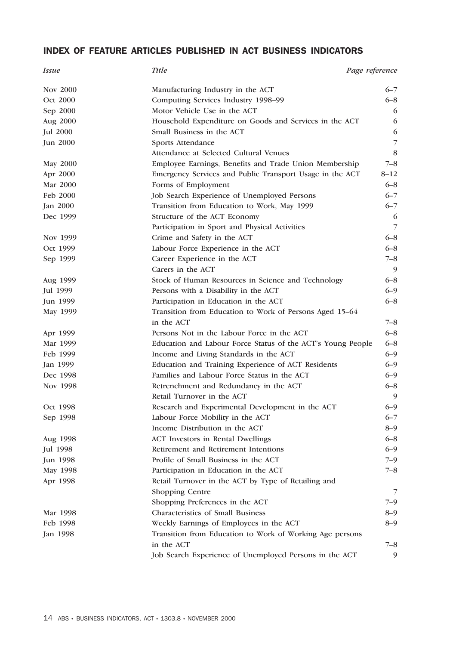# INDEX OF FEATURE ARTICLES PUBLISHED IN ACT BUSINESS INDICATORS

| <i>Issue</i>    | <b>Title</b>                                                | Page reference |
|-----------------|-------------------------------------------------------------|----------------|
| Nov 2000        | Manufacturing Industry in the ACT                           | $6 - 7$        |
| Oct 2000        | Computing Services Industry 1998-99                         | $6 - 8$        |
| Sep 2000        | Motor Vehicle Use in the ACT                                | 6              |
| Aug 2000        | Household Expenditure on Goods and Services in the ACT      | 6              |
| <b>Jul 2000</b> | Small Business in the ACT                                   | 6              |
| Jun 2000        | Sports Attendance                                           | $\overline{7}$ |
|                 | Attendance at Selected Cultural Venues                      | 8              |
| May 2000        | Employee Earnings, Benefits and Trade Union Membership      | $7 - 8$        |
| Apr 2000        | Emergency Services and Public Transport Usage in the ACT    | $8 - 12$       |
| Mar 2000        | Forms of Employment                                         | $6 - 8$        |
| Feb 2000        | Job Search Experience of Unemployed Persons                 | $6 - 7$        |
| Jan 2000        | Transition from Education to Work, May 1999                 | $6 - 7$        |
| Dec 1999        | Structure of the ACT Economy                                | 6              |
|                 | Participation in Sport and Physical Activities              | $\overline{7}$ |
| Nov 1999        | Crime and Safety in the ACT                                 | $6 - 8$        |
| Oct 1999        | Labour Force Experience in the ACT                          | $6 - 8$        |
| Sep 1999        | Career Experience in the ACT                                | $7 - 8$        |
|                 | Carers in the ACT                                           | 9              |
| Aug 1999        | Stock of Human Resources in Science and Technology          | $6 - 8$        |
| Jul 1999        | Persons with a Disability in the ACT                        | $6 - 9$        |
| Jun 1999        | Participation in Education in the ACT                       | $6 - 8$        |
| May 1999        | Transition from Education to Work of Persons Aged 15-64     |                |
|                 | in the ACT                                                  | 7–8            |
| Apr 1999        | Persons Not in the Labour Force in the ACT                  | $6 - 8$        |
| Mar 1999        | Education and Labour Force Status of the ACT's Young People | $6 - 8$        |
| Feb 1999        | Income and Living Standards in the ACT                      | $6 - 9$        |
| Jan 1999        | Education and Training Experience of ACT Residents          | $6 - 9$        |
| Dec 1998        | Families and Labour Force Status in the ACT                 | $6 - 9$        |
| Nov 1998        | Retrenchment and Redundancy in the ACT                      | $6 - 8$        |
|                 | Retail Turnover in the ACT                                  | $\overline{Q}$ |
| Oct 1998        | Research and Experimental Development in the ACT            | $6 - 9$        |
| Sep 1998        | Labour Force Mobility in the ACT                            | $6 - 7$        |
|                 | Income Distribution in the ACT                              | $8 - 9$        |
| Aug 1998        | <b>ACT</b> Investors in Rental Dwellings                    | $6 - 8$        |
| Jul 1998        | Retirement and Retirement Intentions                        | $6 - 9$        |
| Jun 1998        | Profile of Small Business in the ACT                        | $7 - 9$        |
| May 1998        | Participation in Education in the ACT                       | $7 - 8$        |
| Apr 1998        | Retail Turnover in the ACT by Type of Retailing and         |                |
|                 | Shopping Centre                                             | 7              |
|                 | Shopping Preferences in the ACT                             | 7–9            |
| Mar 1998        | Characteristics of Small Business                           | $8 - 9$        |
| Feb 1998        | Weekly Earnings of Employees in the ACT                     | $8 - 9$        |
| Jan 1998        | Transition from Education to Work of Working Age persons    |                |
|                 | in the ACT                                                  | $7 - 8$        |
|                 | Job Search Experience of Unemployed Persons in the ACT      | 9              |